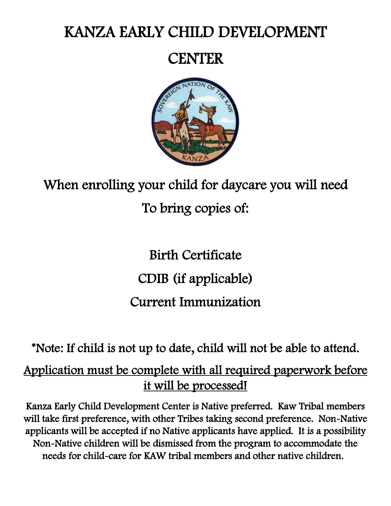# KANZA EARLY CHILD DEVELOPMENT

# **CENTER**



# When enrolling your child for daycare you will need To bring copies of:

# Birth Certificate CDIB (if applicable) Current Immunization

\*Note: If child is not up to date, child will not be able to attend.

## Application must be complete with all required paperwork before it will be processed!

Kanza Early Child Development Center is Native preferred. Kaw Tribal members will take first preference, with other Tribes taking second preference. Non-Native applicants will be accepted if no Native applicants have applied. It is a possibility Non-Native children will be dismissed from the program to accommodate the needs for child-care for KAW tribal members and other native children.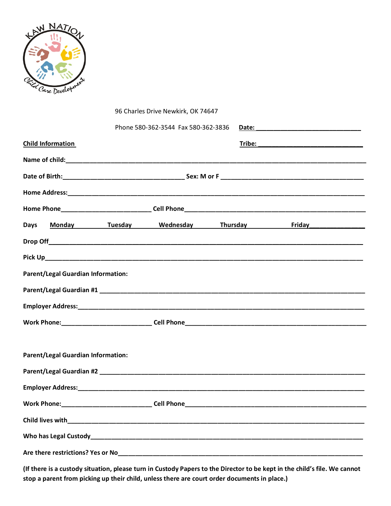

|                                           |                                           |  | 96 Charles Drive Newkirk, OK 74647  |  |  |                                                 |  |
|-------------------------------------------|-------------------------------------------|--|-------------------------------------|--|--|-------------------------------------------------|--|
|                                           |                                           |  | Phone 580-362-3544 Fax 580-362-3836 |  |  |                                                 |  |
| <b>Child Information</b>                  |                                           |  |                                     |  |  |                                                 |  |
|                                           |                                           |  |                                     |  |  |                                                 |  |
|                                           |                                           |  |                                     |  |  |                                                 |  |
|                                           |                                           |  |                                     |  |  |                                                 |  |
|                                           |                                           |  |                                     |  |  |                                                 |  |
| <b>Days</b>                               |                                           |  |                                     |  |  | Monday Tuesday Wednesday Thursday Friday (1994) |  |
|                                           |                                           |  |                                     |  |  |                                                 |  |
|                                           |                                           |  |                                     |  |  |                                                 |  |
|                                           | <b>Parent/Legal Guardian Information:</b> |  |                                     |  |  |                                                 |  |
|                                           |                                           |  |                                     |  |  |                                                 |  |
|                                           |                                           |  |                                     |  |  |                                                 |  |
|                                           |                                           |  |                                     |  |  |                                                 |  |
|                                           |                                           |  |                                     |  |  |                                                 |  |
| <b>Parent/Legal Guardian Information:</b> |                                           |  |                                     |  |  |                                                 |  |
|                                           |                                           |  |                                     |  |  |                                                 |  |
| <b>Employer Address:</b>                  |                                           |  |                                     |  |  |                                                 |  |
|                                           |                                           |  |                                     |  |  |                                                 |  |
|                                           |                                           |  |                                     |  |  |                                                 |  |
|                                           |                                           |  |                                     |  |  |                                                 |  |
|                                           |                                           |  |                                     |  |  |                                                 |  |

**(If there is a custody situation, please turn in Custody Papers to the Director to be kept in the child's file. We cannot stop a parent from picking up their child, unless there are court order documents in place.)**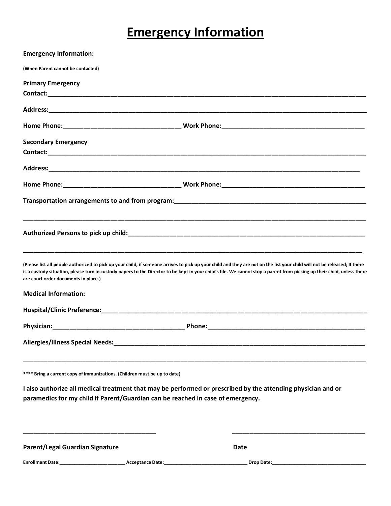## **Emergency Information**

| <b>Emergency Information:</b>                                                   |                                                                                                                                                                                                                                                                                                                                                       |
|---------------------------------------------------------------------------------|-------------------------------------------------------------------------------------------------------------------------------------------------------------------------------------------------------------------------------------------------------------------------------------------------------------------------------------------------------|
| (When Parent cannot be contacted)                                               |                                                                                                                                                                                                                                                                                                                                                       |
| <b>Primary Emergency</b>                                                        |                                                                                                                                                                                                                                                                                                                                                       |
|                                                                                 |                                                                                                                                                                                                                                                                                                                                                       |
|                                                                                 |                                                                                                                                                                                                                                                                                                                                                       |
|                                                                                 |                                                                                                                                                                                                                                                                                                                                                       |
| <b>Secondary Emergency</b>                                                      |                                                                                                                                                                                                                                                                                                                                                       |
|                                                                                 |                                                                                                                                                                                                                                                                                                                                                       |
|                                                                                 |                                                                                                                                                                                                                                                                                                                                                       |
|                                                                                 |                                                                                                                                                                                                                                                                                                                                                       |
|                                                                                 |                                                                                                                                                                                                                                                                                                                                                       |
|                                                                                 | Authorized Persons to pick up child: Authorized and Authorized and Authorized Authorized Persons to pick                                                                                                                                                                                                                                              |
| are court order documents in place.)                                            | (Please list all people authorized to pick up your child, if someone arrives to pick up your child and they are not on the list your child will not be released; If there<br>is a custody situation, please turn in custody papers to the Director to be kept in your child's file. We cannot stop a parent from picking up their child, unless there |
| <b>Medical Information:</b>                                                     |                                                                                                                                                                                                                                                                                                                                                       |
|                                                                                 |                                                                                                                                                                                                                                                                                                                                                       |
|                                                                                 |                                                                                                                                                                                                                                                                                                                                                       |
|                                                                                 |                                                                                                                                                                                                                                                                                                                                                       |
| **** Bring a current copy of immunizations. (Children must be up to date)       |                                                                                                                                                                                                                                                                                                                                                       |
| paramedics for my child if Parent/Guardian can be reached in case of emergency. | I also authorize all medical treatment that may be performed or prescribed by the attending physician and or                                                                                                                                                                                                                                          |
| <b>Parent/Legal Guardian Signature</b>                                          | Date                                                                                                                                                                                                                                                                                                                                                  |
|                                                                                 |                                                                                                                                                                                                                                                                                                                                                       |
|                                                                                 |                                                                                                                                                                                                                                                                                                                                                       |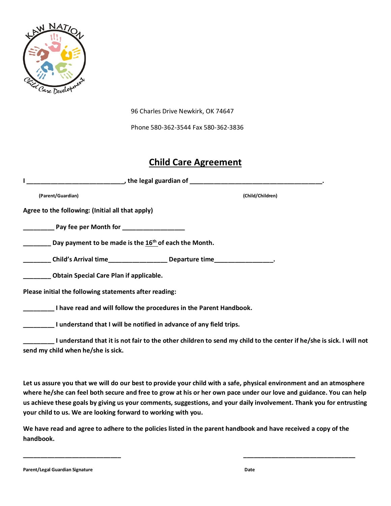

96 Charles Drive Newkirk, OK 74647

Phone 580-362-3544 Fax 580-362-3836

#### **Child Care Agreement**

| (Parent/Guardian)                                                                                   | (Child/Children)                                                                                                    |
|-----------------------------------------------------------------------------------------------------|---------------------------------------------------------------------------------------------------------------------|
| Agree to the following: (Initial all that apply)                                                    |                                                                                                                     |
|                                                                                                     |                                                                                                                     |
| $\frac{1}{1}$ Day payment to be made is the 16 <sup>th</sup> of each the Month.                     |                                                                                                                     |
| ___________Child's Arrival time__________________________Departure time____________________________ |                                                                                                                     |
| __________ Obtain Special Care Plan if applicable.                                                  |                                                                                                                     |
| Please initial the following statements after reading:                                              |                                                                                                                     |
| I have read and will follow the procedures in the Parent Handbook.                                  |                                                                                                                     |
| I understand that I will be notified in advance of any field trips.                                 |                                                                                                                     |
|                                                                                                     | I understand that it is not fair to the other children to send my child to the center if he/she is sick. I will not |

**send my child when he/she is sick.** 

**Let us assure you that we will do our best to provide your child with a safe, physical environment and an atmosphere where he/she can feel both secure and free to grow at his or her own pace under our love and guidance. You can help us achieve these goals by giving us your comments, suggestions, and your daily involvement. Thank you for entrusting your child to us. We are looking forward to working with you.** 

**We have read and agree to adhere to the policies listed in the parent handbook and have received a copy of the handbook.** 

**\_\_\_\_\_\_\_\_\_\_\_\_\_\_\_\_\_\_\_\_\_\_\_\_\_\_\_\_ \_\_\_\_\_\_\_\_\_\_\_\_\_\_\_\_\_\_\_\_\_\_\_\_\_\_\_\_\_\_\_\_**

**Parent/Legal Guardian Signature Date**